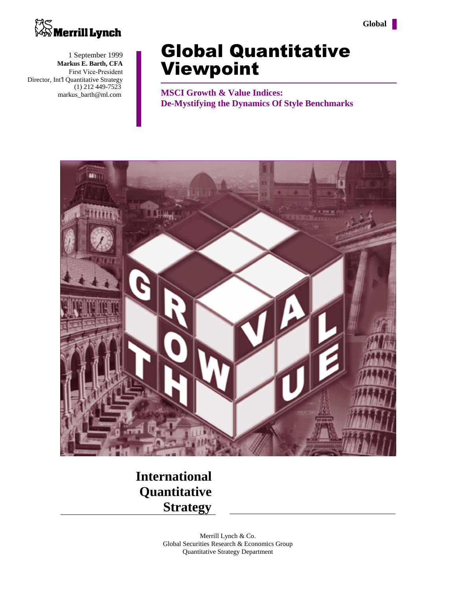



1 September 1999 **Markus E. Barth, CFA** First Vice-President Director, Int'l Quantitative Strategy (1) 212 449-7523 markus\_barth@ml.com

# **Global Quantitative Viewpoint**

**MSCI Growth & Value Indices: De-Mystifying the Dynamics Of Style Benchmarks**



**International Quantitative Strategy**

> Merrill Lynch & Co. Global Securities Research & Economics Group Quantitative Strategy Department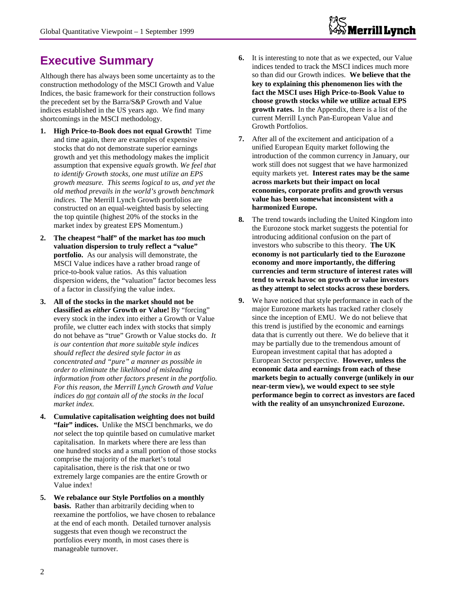# **Executive Summary**

Although there has always been some uncertainty as to the construction methodology of the MSCI Growth and Value Indices, the basic framework for their construction follows the precedent set by the Barra/S&P Growth and Value indices established in the US years ago. We find many shortcomings in the MSCI methodology.

- **1. High Price-to-Book does not equal Growth!** Time and time again, there are examples of expensive stocks that do not demonstrate superior earnings growth and yet this methodology makes the implicit assumption that expensive *equals* growth. *We feel that to identify Growth stocks, one must utilize an EPS growth measure. This seems logical to us, and yet the old method prevails in the world's growth benchmark indices.* The Merrill Lynch Growth portfolios are constructed on an equal-weighted basis by selecting the top quintile (highest 20% of the stocks in the market index by greatest EPS Momentum.)
- **2. The cheapest "half" of the market has** *too* **much valuation dispersion to truly reflect a "value" portfolio.** As our analysis will demonstrate, the MSCI Value indices have a rather broad range of price-to-book value ratios. As this valuation dispersion widens, the "valuation" factor becomes less of a factor in classifying the value index.
- **3. All of the stocks in the market should not be classified as** *either* **Growth or Value!** By "forcing" every stock in the index into either a Growth or Value profile, we clutter each index with stocks that simply do not behave as "true" Growth or Value stocks do. *It is our contention that more suitable style indices should reflect the desired style factor in as concentrated and "pure" a manner as possible in order to eliminate the likelihood of misleading information from other factors present in the portfolio. For this reason, the Merrill Lynch Growth and Value indices do not contain all of the stocks in the local market index.*
- **4. Cumulative capitalisation weighting does not build "fair" indices.** Unlike the MSCI benchmarks, we do *not* select the top quintile based on cumulative market capitalisation. In markets where there are less than one hundred stocks and a small portion of those stocks comprise the majority of the market's total capitalisation, there is the risk that one or two extremely large companies are the entire Growth or Value index!
- **5. We rebalance our Style Portfolios on a monthly basis.** Rather than arbitrarily deciding when to reexamine the portfolios, we have chosen to rebalance at the end of each month. Detailed turnover analysis suggests that even though we reconstruct the portfolios every month, in most cases there is manageable turnover.
- **6.** It is interesting to note that as we expected, our Value indices tended to track the MSCI indices much more so than did our Growth indices. **We believe that the key to explaining this phenomenon lies with the fact the MSCI uses High Price-to-Book Value to choose growth stocks while we utilize actual EPS growth rates.** In the Appendix, there is a list of the current Merrill Lynch Pan-European Value and Growth Portfolios.
- **7.** After all of the excitement and anticipation of a unified European Equity market following the introduction of the common currency in January, our work still does not suggest that we have harmonized equity markets yet. **Interest rates may be the same across markets but their impact on local economies, corporate profits and growth versus value has been somewhat inconsistent with a harmonized Europe.**
- **8.** The trend towards including the United Kingdom into the Eurozone stock market suggests the potential for introducing additional confusion on the part of investors who subscribe to this theory. **The UK economy is not particularly tied to the Eurozone economy and more importantly, the differing currencies and term structure of interest rates will tend to wreak havoc on growth or value investors as they attempt to select stocks across these borders.**
- **9.** We have noticed that style performance in each of the major Eurozone markets has tracked rather closely since the inception of EMU. We do not believe that this trend is justified by the economic and earnings data that is currently out there. We do believe that it may be partially due to the tremendous amount of European investment capital that has adopted a European Sector perspective. **However, unless the economic data and earnings from each of these markets begin to actually converge (unlikely in our near-term view), we would expect to see style performance begin to correct as investors are faced with the reality of an unsynchronized Eurozone.**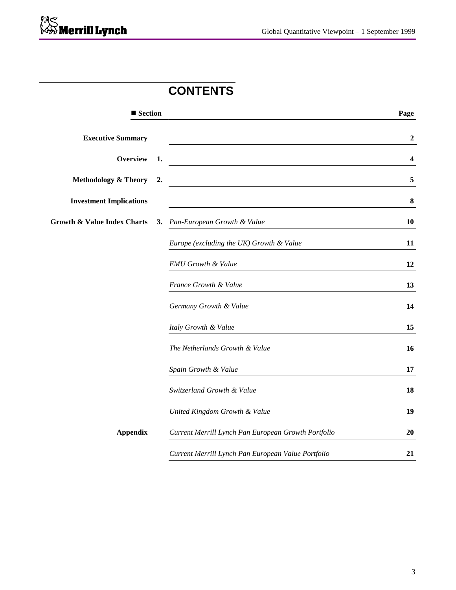# **CONTENTS**

| ■ Section                              |    |                                                     | Page             |
|----------------------------------------|----|-----------------------------------------------------|------------------|
| <b>Executive Summary</b>               |    |                                                     | $\boldsymbol{2}$ |
| <b>Overview</b>                        | 1. |                                                     | 4                |
| <b>Methodology &amp; Theory</b>        | 2. |                                                     | 5                |
| <b>Investment Implications</b>         |    |                                                     | $\bf{8}$         |
| <b>Growth &amp; Value Index Charts</b> |    | 3. Pan-European Growth & Value                      | 10               |
|                                        |    | Europe (excluding the UK) Growth & Value            | 11               |
|                                        |    | <b>EMU</b> Growth & Value                           | 12               |
|                                        |    | France Growth & Value                               | 13               |
|                                        |    | Germany Growth & Value                              | 14               |
|                                        |    | Italy Growth & Value                                | 15               |
|                                        |    | The Netherlands Growth & Value                      | 16               |
|                                        |    | Spain Growth & Value                                | 17               |
|                                        |    | Switzerland Growth & Value                          | 18               |
|                                        |    | United Kingdom Growth & Value                       | 19               |
| <b>Appendix</b>                        |    | Current Merrill Lynch Pan European Growth Portfolio | 20               |
|                                        |    | Current Merrill Lynch Pan European Value Portfolio  | 21               |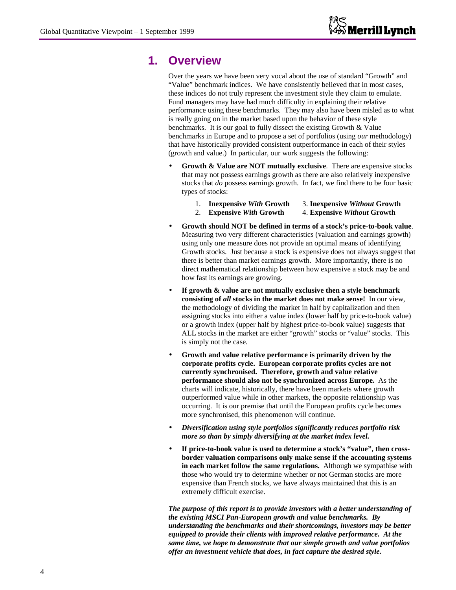# **1. Overview**

Over the years we have been very vocal about the use of standard "Growth" and "Value" benchmark indices. We have consistently believed that in most cases, these indices do not truly represent the investment style they claim to emulate. Fund managers may have had much difficulty in explaining their relative performance using these benchmarks. They may also have been misled as to what is really going on in the market based upon the behavior of these style benchmarks. It is our goal to fully dissect the existing Growth & Value benchmarks in Europe and to propose a set of portfolios (using *our* methodology) that have historically provided consistent outperformance in each of their styles (growth and value.) In particular, our work suggests the following:

- **Growth & Value are NOT mutually exclusive**. There are expensive stocks that may not possess earnings growth as there are also relatively inexpensive stocks that *do* possess earnings growth. In fact, we find there to be four basic types of stocks:
	- 1. **Inexpensive** *With* **Growth** 3. **Inexpensive** *Without* **Growth**
	- 2. **Expensive** *With* **Growth** 4. **Expensive** *Without* **Growth**
- **Growth should NOT be defined in terms of a stock's price-to-book value**. Measuring two very different characteristics (valuation and earnings growth) using only one measure does not provide an optimal means of identifying Growth stocks. Just because a stock is expensive does not always suggest that there is better than market earnings growth. More importantly, there is no direct mathematical relationship between how expensive a stock may be and how fast its earnings are growing.
- **If growth & value are not mutually exclusive then a style benchmark consisting of** *all* **stocks in the market does not make sense!** In our view, the methodology of dividing the market in half by capitalization and then assigning stocks into either a value index (lower half by price-to-book value) or a growth index (upper half by highest price-to-book value) suggests that ALL stocks in the market are either "growth" stocks or "value" stocks. This is simply not the case.
- **Growth and value relative performance is primarily driven by the corporate profits cycle. European corporate profits cycles are not currently synchronised. Therefore, growth and value relative performance should also not be synchronized across Europe.** As the charts will indicate, historically, there have been markets where growth outperformed value while in other markets, the opposite relationship was occurring. It is our premise that until the European profits cycle becomes more synchronised, this phenomenon will continue.
- *Diversification using style portfolios significantly reduces portfolio risk more so than by simply diversifying at the market index level.*
- If price-to-book value is used to determine a stock's "value", then cross**border valuation comparisons only make sense if the accounting systems in each market follow the same regulations.** Although we sympathise with those who would try to determine whether or not German stocks are more expensive than French stocks, we have always maintained that this is an extremely difficult exercise.

*The purpose of this report is to provide investors with a better understanding of the existing MSCI Pan-European growth and value benchmarks. By understanding the benchmarks and their shortcomings, investors may be better equipped to provide their clients with improved relative performance. At the same time, we hope to demonstrate that our simple growth and value portfolios offer an investment vehicle that does, in fact capture the desired style.*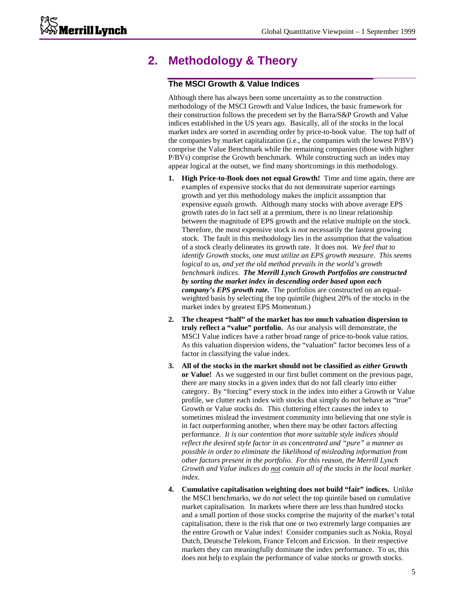# **2. Methodology & Theory**

### **The MSCI Growth & Value Indices**

Although there has always been some uncertainty as to the construction methodology of the MSCI Growth and Value Indices, the basic framework for their construction follows the precedent set by the Barra/S&P Growth and Value indices established in the US years ago. Basically, all of the stocks in the local market index are sorted in ascending order by price-to-book value. The top half of the companies by market capitalization (i.e., the companies with the lowest P/BV) comprise the Value Benchmark while the remaining companies (those with higher P/BVs) comprise the Growth benchmark. While constructing such an index may appear logical at the outset, we find many shortcomings in this methodology.

- **1. High Price-to-Book does not equal Growth!** Time and time again, there are examples of expensive stocks that do not demonstrate superior earnings growth and yet this methodology makes the implicit assumption that expensive *equals* growth. Although many stocks with above average EPS growth rates *do* in fact sell at a premium, there is no linear relationship between the magnitude of EPS growth and the relative multiple on the stock. Therefore, the most expensive stock is *not* necessarily the fastest growing stock. The fault in this methodology lies in the assumption that the valuation of a stock clearly delineates its growth rate. It does not*. We feel that to identify Growth stocks, one must utilize an EPS growth measure. This seems logical to us, and yet the old method prevails in the world's growth benchmark indices. The Merrill Lynch Growth Portfolios are constructed by sorting the market index in descending order based upon each company's EPS growth rate.* The portfolios are constructed on an equalweighted basis by selecting the top quintile (highest 20% of the stocks in the market index by greatest EPS Momentum.)
- **2. The cheapest "half" of the market has** *too* **much valuation dispersion to truly reflect a "value" portfolio.** As our analysis will demonstrate, the MSCI Value indices have a rather broad range of price-to-book value ratios. As this valuation dispersion widens, the "valuation" factor becomes less of a factor in classifying the value index.
- **3. All of the stocks in the market should not be classified as** *either* **Growth or Value!** As we suggested in our first bullet comment on the previous page, there are many stocks in a given index that do not fall clearly into either category. By "forcing" every stock in the index into either a Growth or Value profile, we clutter each index with stocks that simply do not behave as "true" Growth or Value stocks do. This cluttering effect causes the index to sometimes mislead the investment community into believing that one style is in fact outperforming another, when there may be other factors affecting performance. *It is our contention that more suitable style indices should reflect the desired style factor in as concentrated and "pure" a manner as possible in order to eliminate the likelihood of misleading information from other factors present in the portfolio. For this reason, the Merrill Lynch Growth and Value indices do not contain all of the stocks in the local market index.*
- **4. Cumulative capitalisation weighting does not build "fair" indices.** Unlike the MSCI benchmarks, we do *not* select the top quintile based on cumulative market capitalisation. In markets where there are less than hundred stocks and a small portion of those stocks comprise the majority of the market's total capitalisation, there is the risk that one or two extremely large companies are the entire Growth or Value index! Consider companies such as Nokia, Royal Dutch, Deutsche Telekom, France Telcom and Ericsson. In their respective markets they can meaningfully dominate the index performance. To us, this does not help to explain the performance of value stocks or growth stocks.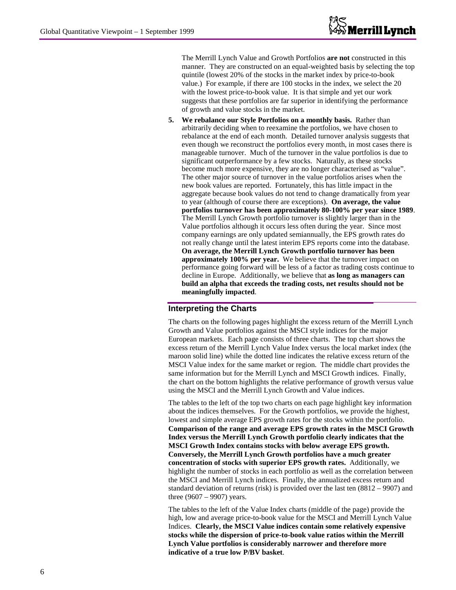The Merrill Lynch Value and Growth Portfolios **are not** constructed in this manner. They are constructed on an equal-weighted basis by selecting the top quintile (lowest 20% of the stocks in the market index by price-to-book value.) For example, if there are 100 stocks in the index, we select the 20 with the lowest price-to-book value. It is that simple and yet our work suggests that these portfolios are far superior in identifying the performance of growth and value stocks in the market.

**5. We rebalance our Style Portfolios on a monthly basis.** Rather than arbitrarily deciding when to reexamine the portfolios, we have chosen to rebalance at the end of each month. Detailed turnover analysis suggests that even though we reconstruct the portfolios every month, in most cases there is manageable turnover. Much of the turnover in the value portfolios is due to significant outperformance by a few stocks. Naturally, as these stocks become much more expensive, they are no longer characterised as "value". The other major source of turnover in the value portfolios arises when the new book values are reported. Fortunately, this has little impact in the aggregate because book values do not tend to change dramatically from year to year (although of course there are exceptions). **On average, the value portfolios turnover has been approximately 80-100% per year since 1989**. The Merrill Lynch Growth portfolio turnover is slightly larger than in the Value portfolios although it occurs less often during the year. Since most company earnings are only updated semiannually, the EPS growth rates do not really change until the latest interim EPS reports come into the database. **On average, the Merrill Lynch Growth portfolio turnover has been approximately 100% per year.** We believe that the turnover impact on performance going forward will be less of a factor as trading costs continue to decline in Europe. Additionally, we believe that **as long as managers can build an alpha that exceeds the trading costs, net results should not be meaningfully impacted**.

### **Interpreting the Charts**

The charts on the following pages highlight the excess return of the Merrill Lynch Growth and Value portfolios against the MSCI style indices for the major European markets. Each page consists of three charts. The top chart shows the excess return of the Merrill Lynch Value Index versus the local market index (the maroon solid line) while the dotted line indicates the relative excess return of the MSCI Value index for the same market or region. The middle chart provides the same information but for the Merrill Lynch and MSCI Growth indices. Finally, the chart on the bottom highlights the relative performance of growth versus value using the MSCI and the Merrill Lynch Growth and Value indices.

The tables to the left of the top two charts on each page highlight key information about the indices themselves. For the Growth portfolios, we provide the highest, lowest and simple average EPS growth rates for the stocks within the portfolio. **Comparison of the range and average EPS growth rates in the MSCI Growth Index versus the Merrill Lynch Growth portfolio clearly indicates that the MSCI Growth Index contains stocks with below average EPS growth. Conversely, the Merrill Lynch Growth portfolios have a much greater concentration of stocks with superior EPS growth rates.** Additionally, we highlight the number of stocks in each portfolio as well as the correlation between the MSCI and Merrill Lynch indices. Finally, the annualized excess return and standard deviation of returns (risk) is provided over the last ten (8812 – 9907) and three  $(9607 - 9907)$  years.

The tables to the left of the Value Index charts (middle of the page) provide the high, low and average price-to-book value for the MSCI and Merrill Lynch Value Indices. **Clearly, the MSCI Value indices contain some relatively expensive stocks while the dispersion of price-to-book value ratios within the Merrill Lynch Value portfolios is considerably narrower and therefore more indicative of a true low P/BV basket**.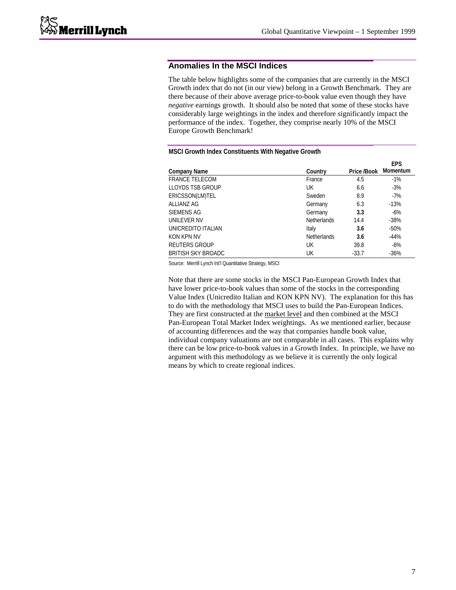### **Anomalies In the MSCI Indices**

The table below highlights some of the companies that are currently in the MSCI Growth index that do not (in our view) belong in a Growth Benchmark. They are there because of their above average price-to-book value even though they have *negative* earnings growth. It should also be noted that some of these stocks have considerably large weightings in the index and therefore significantly impact the performance of the index. Together, they comprise nearly 10% of the MSCI Europe Growth Benchmark!

|                           |                    |             | <b>EPS</b>      |
|---------------------------|--------------------|-------------|-----------------|
| <b>Company Name</b>       | Country            | Price /Book | <b>Momentum</b> |
| <b>FRANCE TELECOM</b>     | France             | 4.5         | $-1%$           |
| <b>LLOYDS TSB GROUP</b>   | UK                 | 6.6         | $-3%$           |
| ERICSSON(LM)TEL           | Sweden             | 8.9         | $-7%$           |
| ALLIANZ AG                | Germany            | 6.3         | $-13%$          |
| SIEMENS AG                | Germany            | 3.3         | $-6%$           |
| UNILEVER NV               | <b>Netherlands</b> | 14.4        | $-38%$          |
| UNICREDITO ITALIAN        | Italy              | 3.6         | $-50%$          |
| KON KPN NV                | <b>Netherlands</b> | 3.6         | $-44%$          |
| <b>REUTERS GROUP</b>      | UK                 | 39.8        | $-6%$           |
| <b>BRITISH SKY BROADC</b> | UK                 | $-33.7$     | $-36%$          |

### **MSCI Growth Index Constituents With Negative Growth**

Source: Merrill Lynch Int'l Quantitative Strategy, MSCI

Note that there are some stocks in the MSCI Pan-European Growth Index that have lower price-to-book values than some of the stocks in the corresponding Value Index (Unicredito Italian and KON KPN NV). The explanation for this has to do with the methodology that MSCI uses to build the Pan-European Indices. They are first constructed at the market level and then combined at the MSCI Pan-European Total Market Index weightings. As we mentioned earlier, because of accounting differences and the way that companies handle book value, individual company valuations are not comparable in all cases. This explains why there can be low price-to-book values in a Growth Index. In principle, we have no argument with this methodology as we believe it is currently the only logical means by which to create regional indices.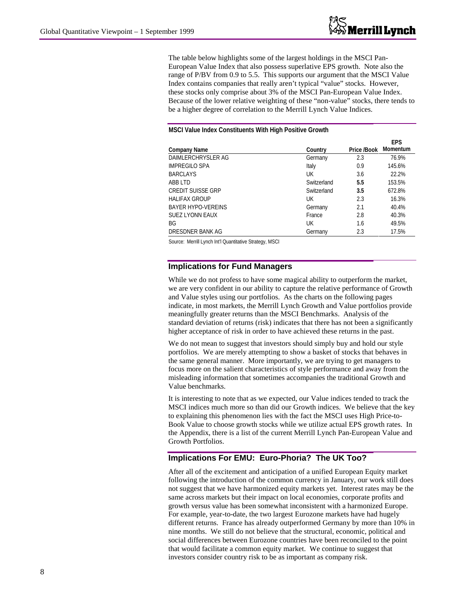The table below highlights some of the largest holdings in the MSCI Pan-European Value Index that also possess superlative EPS growth. Note also the range of P/BV from 0.9 to 5.5. This supports our argument that the MSCI Value Index contains companies that really aren't typical "value" stocks. However, these stocks only comprise about 3% of the MSCI Pan-European Value Index. Because of the lower relative weighting of these "non-value" stocks, there tends to be a higher degree of correlation to the Merrill Lynch Value Indices.

#### **MSCI Value Index Constituents With High Positive Growth**

|                           |             |             | <b>EPS</b>      |
|---------------------------|-------------|-------------|-----------------|
| <b>Company Name</b>       | Country     | Price /Book | <b>Momentum</b> |
| DAIMLERCHRYSLER AG        | Germany     | 2.3         | 76.9%           |
| <b>IMPREGILO SPA</b>      | Italy       | 0.9         | 145.6%          |
| <b>BARCLAYS</b>           | UК          | 3.6         | 22.2%           |
| ABB LTD                   | Switzerland | 5.5         | 153.5%          |
| <b>CREDIT SUISSE GRP</b>  | Switzerland | 3.5         | 672.8%          |
| <b>HALIFAX GROUP</b>      | UK          | 2.3         | 16.3%           |
| <b>BAYER HYPO-VEREINS</b> | Germany     | 2.1         | 40.4%           |
| <b>SUEZ LYONN EAUX</b>    | France      | 2.8         | 40.3%           |
| BG                        | UК          | 1.6         | 49.5%           |
| DRESDNER BANK AG          | Germany     | 2.3         | 17.5%           |

Source: Merrill Lynch Int'l Quantitative Strategy, MSCI

### **Implications for Fund Managers**

While we do not profess to have some magical ability to outperform the market, we are very confident in our ability to capture the relative performance of Growth and Value styles using our portfolios. As the charts on the following pages indicate, in most markets, the Merrill Lynch Growth and Value portfolios provide meaningfully greater returns than the MSCI Benchmarks. Analysis of the standard deviation of returns (risk) indicates that there has not been a significantly higher acceptance of risk in order to have achieved these returns in the past.

We do not mean to suggest that investors should simply buy and hold our style portfolios. We are merely attempting to show a basket of stocks that behaves in the same general manner. More importantly, we are trying to get managers to focus more on the salient characteristics of style performance and away from the misleading information that sometimes accompanies the traditional Growth and Value benchmarks.

It is interesting to note that as we expected, our Value indices tended to track the MSCI indices much more so than did our Growth indices. We believe that the key to explaining this phenomenon lies with the fact the MSCI uses High Price-to-Book Value to choose growth stocks while we utilize actual EPS growth rates. In the Appendix, there is a list of the current Merrill Lynch Pan-European Value and Growth Portfolios.

### **Implications For EMU: Euro-Phoria? The UK Too?**

After all of the excitement and anticipation of a unified European Equity market following the introduction of the common currency in January, our work still does not suggest that we have harmonized equity markets yet. Interest rates may be the same across markets but their impact on local economies, corporate profits and growth versus value has been somewhat inconsistent with a harmonized Europe. For example, year-to-date, the two largest Eurozone markets have had hugely different returns. France has already outperformed Germany by more than 10% in nine months. We still do not believe that the structural, economic, political and social differences between Eurozone countries have been reconciled to the point that would facilitate a common equity market. We continue to suggest that investors consider country risk to be as important as company risk.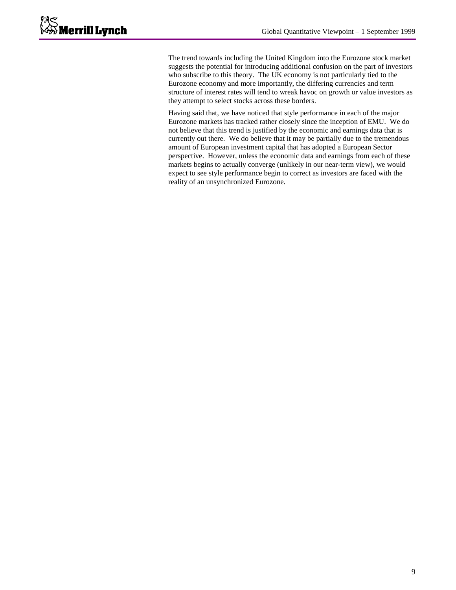The trend towards including the United Kingdom into the Eurozone stock market suggests the potential for introducing additional confusion on the part of investors who subscribe to this theory. The UK economy is not particularly tied to the Eurozone economy and more importantly, the differing currencies and term structure of interest rates will tend to wreak havoc on growth or value investors as they attempt to select stocks across these borders.

Having said that, we have noticed that style performance in each of the major Eurozone markets has tracked rather closely since the inception of EMU. We do not believe that this trend is justified by the economic and earnings data that is currently out there. We do believe that it may be partially due to the tremendous amount of European investment capital that has adopted a European Sector perspective. However, unless the economic data and earnings from each of these markets begins to actually converge (unlikely in our near-term view), we would expect to see style performance begin to correct as investors are faced with the reality of an unsynchronized Eurozone.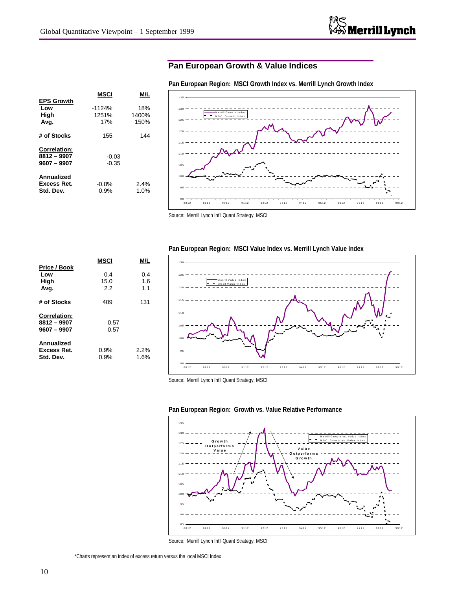# **Pan European Growth & Value Indices**

| <b>EPS Growth</b>                                   | MSCI                     | M/L                  |
|-----------------------------------------------------|--------------------------|----------------------|
| Low<br>High<br>Avg.                                 | $-1124%$<br>1251%<br>17% | 18%<br>1400%<br>150% |
| # of Stocks                                         | 155                      | 144                  |
| <b>Correlation:</b><br>8812 - 9907<br>$9607 - 9907$ | $-0.03$<br>$-0.35$       |                      |
| Annualized<br>Excess Ret.<br>Std. Dev.              | $-0.8%$<br>0.9%          | $2.4\%$<br>1.0%      |

9 0 9 5 100 105 110 115 120 125 130 135 8812 8912 9012 9112 9212 9312 9412 9512 9612 9712 9812 9912 G row th Index M S C I G row th Index

**Pan European Region: MSCI Growth Index vs. Merrill Lynch Growth Index**

|                                                     | MSCI               | M/L               |
|-----------------------------------------------------|--------------------|-------------------|
| Price / Book<br>Low<br>High<br>Avg.                 | 0.4<br>15.0<br>2.2 | 0.4<br>1.6<br>1.1 |
| # of Stocks                                         | 409                | 131               |
| <b>Correlation:</b><br>8812 - 9907<br>$9607 - 9907$ | 0.57<br>0.57       |                   |
| Annualized<br>Excess Ret.<br>Std. Dev.              | 0.9%<br>0.9%       | 2.2%<br>1.6%      |



Source: Merrill Lynch Int'l Quant Strategy, MSCI





Source: Merrill Lynch Int'l Quant Strategy, MSCI

\*Charts represent an index of excess return versus the local MSCI Index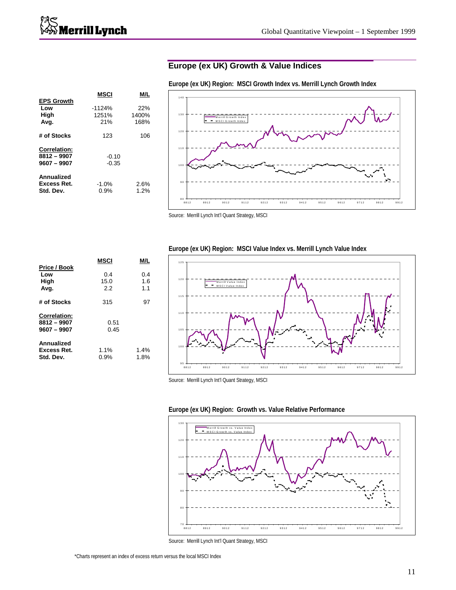# **Europe (ex UK) Growth & Value Indices**

|                                                     | MSCI                     | M/L                  |  |
|-----------------------------------------------------|--------------------------|----------------------|--|
| <b>EPS Growth</b><br>Low<br>High<br>Avg.            | $-1124%$<br>1251%<br>21% | 22%<br>1400%<br>168% |  |
| # of Stocks                                         | 123                      | 106                  |  |
| <b>Correlation:</b><br>8812 - 9907<br>$9607 - 9907$ | $-0.10$<br>$-0.35$       |                      |  |
| Annualized<br>Excess Ret.<br>Std. Dev.              | $-1.0%$<br>0.9%          | 2.6%<br>1.2%         |  |

100 110 120 130 140 M errill G ro w th Ind ex M S C I G row th Inde x

8812 8912 9012 9112 9212 9312 9412 9512 9612 9712 9812 9912

Source: Merrill Lynch Int'l Quant Strategy, MSCI

8 0

9 0

|                                                     | MSCI               | M/L               |
|-----------------------------------------------------|--------------------|-------------------|
| Price / Book<br>Low<br>High<br>Avg.                 | 0.4<br>15.0<br>2.2 | 0.4<br>1.6<br>1.1 |
| # of Stocks                                         | 315                | 97                |
| <b>Correlation:</b><br>8812 - 9907<br>$9607 - 9907$ | 0.51<br>0.45       |                   |
| Annualized<br>Excess Ret.<br>Std. Dev.              | 1.1%<br>0.9%       | 1.4%<br>1.8%      |

### **Europe (ex UK) Region: MSCI Value Index vs. Merrill Lynch Value Index**



Source: Merrill Lynch Int'l Quant Strategy, MSCI

### **Europe (ex UK) Region: Growth vs. Value Relative Performance**



Source: Merrill Lynch Int'l Quant Strategy, MSCI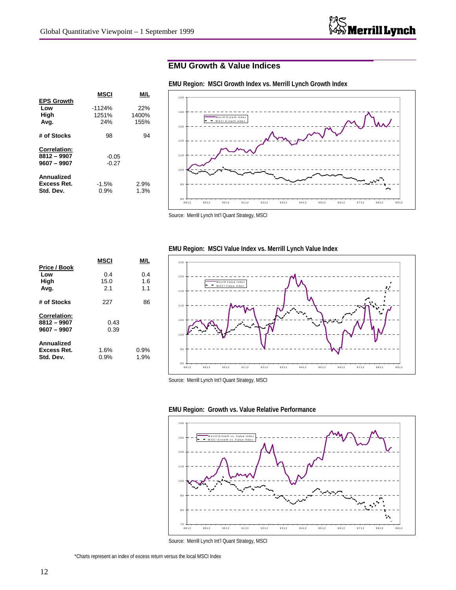# **EMU Growth & Value Indices**

|  | EMU Region: MSCI Growth Index vs. Merrill Lynch Growth Index |  |  |  |  |  |
|--|--------------------------------------------------------------|--|--|--|--|--|
|--|--------------------------------------------------------------|--|--|--|--|--|

|                                                     | MSCI                     |                      |
|-----------------------------------------------------|--------------------------|----------------------|
| <b>EPS Growth</b><br>Low<br>High<br>Avg.            | $-1124%$<br>1251%<br>24% | 22%<br>1400%<br>155% |
| # of Stocks                                         | 98                       | 94                   |
| <b>Correlation:</b><br>8812 - 9907<br>$9607 - 9907$ | $-0.05$<br>$-0.27$       |                      |
| Annualized<br>Excess Ret.<br>Std. Dev.              | $-1.5%$<br>0.9%          | 2.9%<br>1.3%         |



Source: Merrill Lynch Int'l Quant Strategy, MSCI

|                              | MSCI         | M/L        |
|------------------------------|--------------|------------|
| Price / Book                 | 0.4          |            |
| Low<br>High                  | 15.0         | 0.4<br>1.6 |
| Avg.                         | 2.1          | 1.1        |
| # of Stocks                  | 227          | 86         |
| <b>Correlation:</b>          |              |            |
| 8812 - 9907<br>$9607 - 9907$ | 0.43<br>0.39 |            |
|                              |              |            |
| Annualized                   |              |            |
| Excess Ret.                  | 1.6%         | 0.9%       |
| Std. Dev.                    | 0.9%         | 1.9%       |

### **EMU Region: MSCI Value Index vs. Merrill Lynch Value Index**







Source: Merrill Lynch Int'l Quant Strategy, MSCI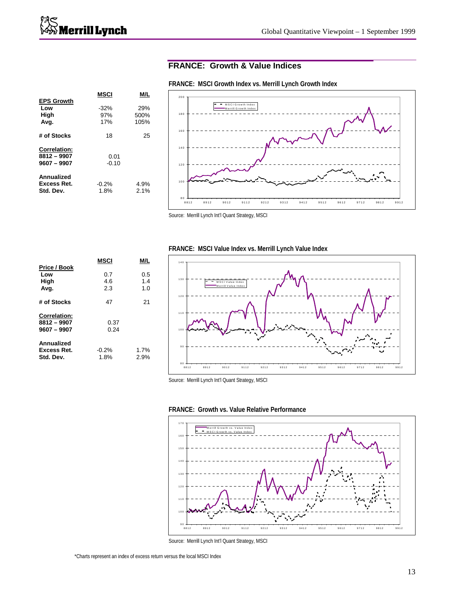# **FRANCE: Growth & Value Indices**

|                     | MSCI    | M/L  |
|---------------------|---------|------|
| <b>EPS Growth</b>   |         |      |
| Low                 | $-32%$  | 29%  |
| High                | 97%     | 500% |
| Avg.                | 17%     | 105% |
| # of Stocks         | 18      | 25   |
| <b>Correlation:</b> |         |      |
| 8812 - 9907         | 0.01    |      |
| $9607 - 9907$       | $-0.10$ |      |
| Annualized          |         |      |
| Excess Ret.         | $-0.2%$ | 4.9% |
| Std. Dev.           | 1.8%    | 2.1% |
|                     |         |      |

# 80 +<br>8812 100 120 140 160 <sub>18</sub> 200 8812 8912 9012 9112 9212 9312 9412 9512 9612 9712 9812 9912 M S C I G ro w th Ind ex M errill G row th Ind ex

**FRANCE: MSCI Growth Index vs. Merrill Lynch Growth Index**

|                                                     | MSCI              | M/L               |
|-----------------------------------------------------|-------------------|-------------------|
| Price / Book<br>Low<br>High<br>Avg.                 | 0.7<br>4.6<br>2.3 | 0.5<br>1.4<br>1.0 |
| # of Stocks                                         | 47                | 21                |
| <b>Correlation:</b><br>8812 - 9907<br>$9607 - 9907$ | 0.37<br>0.24      |                   |
| Annualized<br>Excess Ret.<br>Std. Dev.              | $-0.2%$<br>1.8%   | 1.7%<br>2.9%      |

### **FRANCE: MSCI Value Index vs. Merrill Lynch Value Index**



Source: Merrill Lynch Int'l Quant Strategy, MSCI





Source: Merrill Lynch Int'l Quant Strategy, MSCI

Source: Merrill Lynch Int'l Quant Strategy, MSCI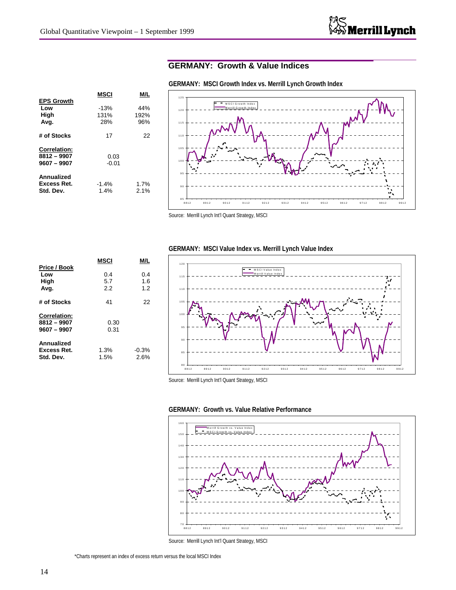# **GERMANY: Growth & Value Indices**

|                     | MSCI    | M/L  |
|---------------------|---------|------|
| <b>EPS Growth</b>   |         |      |
| Low                 | $-13%$  | 44%  |
| High                | 131%    | 192% |
| Avg.                | 28%     | 96%  |
| # of Stocks         | 17      | 22   |
| <b>Correlation:</b> |         |      |
| 8812 - 9907         | 0.03    |      |
| $9607 - 9907$       | $-0.01$ |      |
| Annualized          |         |      |
| Excess Ret.         | $-1.4%$ | 1.7% |
| Std. Dev.           | 1.4%    | 2.1% |
|                     |         |      |

8 5 9 0 9 5 100 105 110 115 120 125 8812 8912 9012 9112 9212 9312 9412 9512 9612 9712 9812 9912 M S C I G ro w th Inde x M errill G ro w th Ind ex

**GERMANY: MSCI Growth Index vs. Merrill Lynch Growth Index**

Source: Merrill Lynch Int'l Quant Strategy, MSCI

|                                                     | MSCI             | M/L               |
|-----------------------------------------------------|------------------|-------------------|
| Price / Book<br>Low<br>High<br>Avg.                 | 0.4<br>5.7<br>22 | 0.4<br>1.6<br>1.2 |
| # of Stocks                                         | 41               | 22                |
| <b>Correlation:</b><br>8812 - 9907<br>$9607 - 9907$ | 0.30<br>0.31     |                   |
| Annualized<br>Excess Ret.<br>Std. Dev.              | 1.3%<br>1.5%     | $-0.3%$<br>2.6%   |

### **GERMANY: MSCI Value Index vs. Merrill Lynch Value Index**







Source: Merrill Lynch Int'l Quant Strategy, MSCI

\*Charts represent an index of excess return versus the local MSCI Index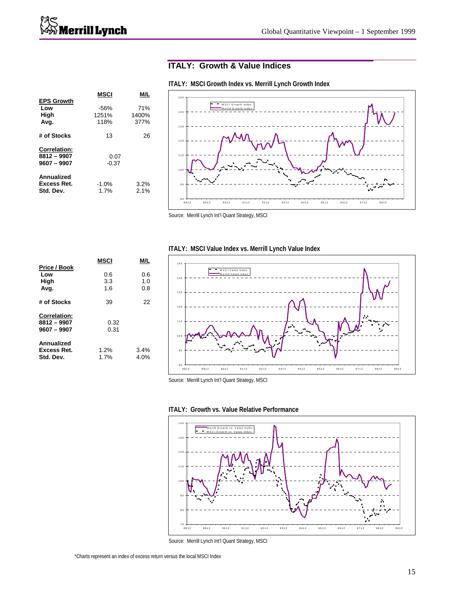# **ITALY: Growth & Value Indices**

|                                                     | <b>MSCI</b>             | M/L                  |
|-----------------------------------------------------|-------------------------|----------------------|
| <b>EPS Growth</b><br>Low<br>High<br>Avg.            | $-56%$<br>1251%<br>118% | 71%<br>1400%<br>377% |
| # of Stocks                                         | 13                      | 26                   |
| <b>Correlation:</b><br>8812 - 9907<br>$9607 - 9907$ | 0.07<br>$-0.37$         |                      |
| Annualized<br><b>Excess Ret.</b><br>Std. Dev.       | $-1.0%$<br>1.7%         | 3.2%<br>$2.1\%$      |



**ITALY: MSCI Growth Index vs. Merrill Lynch Growth Index**

Source: Merrill Lynch Int'l Quant Strategy, MSCI

### **ITALY: MSCI Value Index vs. Merrill Lynch Value Index**

|                                                     | MSCI              | M/L               |
|-----------------------------------------------------|-------------------|-------------------|
| Price / Book<br>Low<br>High<br>Avg.                 | 0.6<br>3.3<br>1.6 | 0.6<br>1.0<br>0.8 |
| # of Stocks                                         | 39                | 22                |
| <b>Correlation:</b><br>8812 - 9907<br>$9607 - 9907$ | 0.32<br>0.31      |                   |
| Annualized<br><b>Excess Ret.</b><br>Std. Dev.       | 1.2%<br>1.7%      | 3.4%<br>4.0%      |







Source: Merrill Lynch Int'l Quant Strategy, MSCI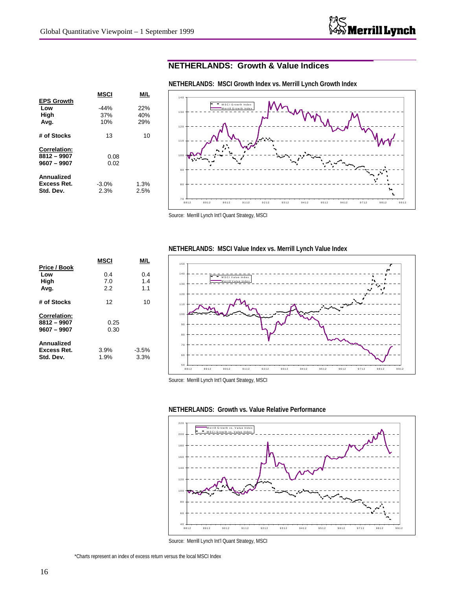# **NETHERLANDS: Growth & Value Indices**

|                     | MSCI    | M/   |
|---------------------|---------|------|
| <b>EPS Growth</b>   |         |      |
| Low                 | $-44%$  | 22%  |
| High                | 37%     | 40%  |
| Avg.                | 10%     | 29%  |
| # of Stocks         | 13      | 10   |
| <b>Correlation:</b> |         |      |
| 8812 - 9907         | 0.08    |      |
| $9607 - 9907$       | 0.02    |      |
| Annualized          |         |      |
| <b>Excess Ret.</b>  | $-3.0%$ | 1.3% |
| Std. Dev.           | 2.3%    | 2.5% |
|                     |         |      |

**NETHERLANDS: MSCI Growth Index vs. Merrill Lynch Growth Index**



Source: Merrill Lynch Int'l Quant Strategy, MSCI

|                                                     | MSCI             | M/L               |
|-----------------------------------------------------|------------------|-------------------|
| Price / Book<br>Low<br>High<br>Avg.                 | 0.4<br>7.0<br>22 | 0.4<br>1.4<br>1.1 |
| # of Stocks                                         | 12               | 10                |
| <b>Correlation:</b><br>8812 - 9907<br>$9607 - 9907$ | 0.25<br>0.30     |                   |
| Annualized<br><b>Excess Ret.</b><br>Std. Dev.       | 3.9%<br>1.9%     | $-3.5%$<br>3.3%   |

### **NETHERLANDS: MSCI Value Index vs. Merrill Lynch Value Index**







Source: Merrill Lynch Int'l Quant Strategy, MSCI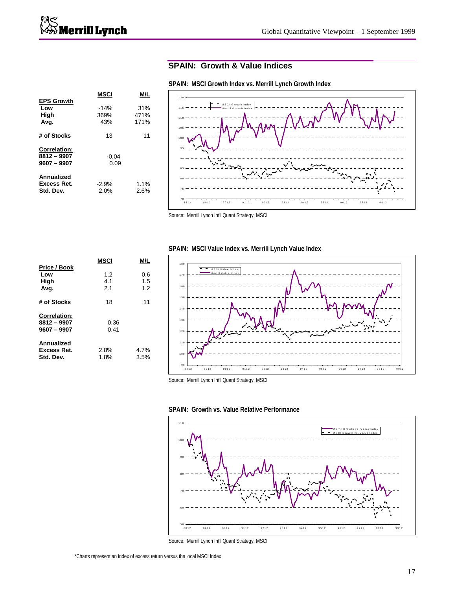# **SPAIN: Growth & Value Indices**

|                     | MSCI    | M/L  |
|---------------------|---------|------|
| <b>EPS Growth</b>   |         |      |
| Low                 | $-14%$  | 31%  |
| High                | 369%    | 471% |
| Avg.                | 43%     | 171% |
| # of Stocks         | 13      | 11   |
| <b>Correlation:</b> |         |      |
| 8812 - 9907         | $-0.04$ |      |
| $9607 - 9907$       | 0.09    |      |
| Annualized          |         |      |
| Excess Ret.         | $-2.9%$ | 1.1% |
| Std. Dev.           | 2.0%    | 2.6% |
|                     |         |      |



### **SPAIN: MSCI Growth Index vs. Merrill Lynch Growth Index**

Source: Merrill Lynch Int'l Quant Strategy, MSCI

|                                                     | MSCI              | M/L               |
|-----------------------------------------------------|-------------------|-------------------|
| Price / Book<br>Low<br>High<br>Avg.                 | 1.2<br>4.1<br>2.1 | 0.6<br>1.5<br>1.2 |
| # of Stocks                                         | 18                | 11                |
| <b>Correlation:</b><br>8812 - 9907<br>$9607 - 9907$ | 0.36<br>0.41      |                   |
| Annualized<br>Excess Ret.<br>Std. Dev.              | 2.8%<br>1.8%      | 4.7%<br>3.5%      |

### **SPAIN: MSCI Value Index vs. Merrill Lynch Value Index**







Source: Merrill Lynch Int'l Quant Strategy, MSCI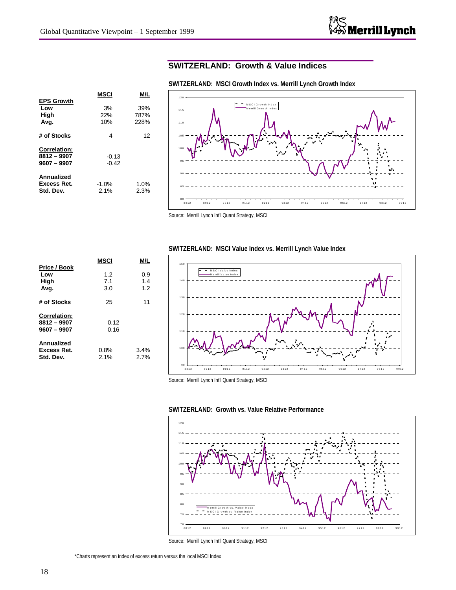# **SWITZERLAND: Growth & Value Indices**

**SWITZERLAND: MSCI Growth Index vs. Merrill Lynch Growth Index**

|                                               | MSCI               | M/L          |
|-----------------------------------------------|--------------------|--------------|
| <b>EPS Growth</b>                             |                    |              |
| Low<br>High                                   | 3%<br>22%          | 39%<br>787%  |
| Avg.                                          | 10%                | 228%         |
| # of Stocks                                   | 4                  | 12           |
| <b>Correlation:</b>                           |                    |              |
| 8812 - 9907<br>$9607 - 9907$                  | $-0.13$<br>$-0.42$ |              |
| Annualized<br><b>Excess Ret.</b><br>Std. Dev. | $-1.0%$<br>2.1%    | 1.0%<br>2.3% |

120 Ξ M S C I G ro w th Ind ex M e rrill G row th In dex 115 110 105 100 9 5 9 0 8 5 8 0 8812 8912 9012 9112 9212 9312 9412 9512 9612 9712 9812 9912

Source: Merrill Lynch Int'l Quant Strategy, MSCI



### **SWITZERLAND: MSCI Value Index vs. Merrill Lynch Value Index**







Source: Merrill Lynch Int'l Quant Strategy, MSCI

\*Charts represent an index of excess return versus the local MSCI Index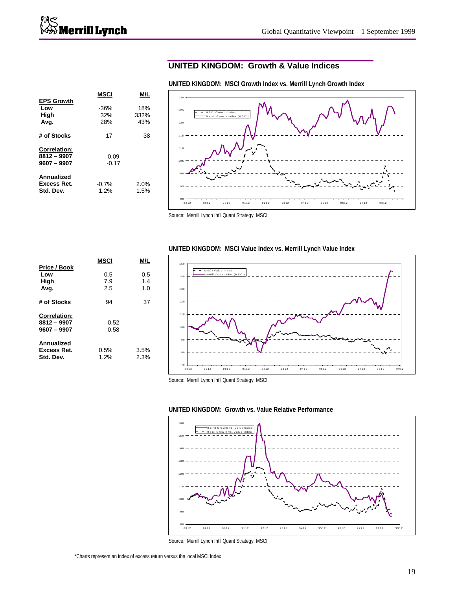### **UNITED KINGDOM: Growth & Value Indices**

|                     | MSCI    |      |
|---------------------|---------|------|
| <b>EPS Growth</b>   |         |      |
| Low                 | $-36%$  | 18%  |
| High                | 32%     | 332% |
| Avg.                | 28%     | 43%  |
| # of Stocks         | 17      | 38   |
| <b>Correlation:</b> |         |      |
| 8812 - 9907         | 0.09    |      |
| $9607 - 9907$       | $-0.17$ |      |
| Annualized          |         |      |
| Excess Ret.         | $-0.7%$ | 2.0% |
| Std. Dev.           | 1.2%    | 1.5% |
|                     |         |      |

**UNITED KINGDOM: MSCI Growth Index vs. Merrill Lynch Growth Index**



Source: Merrill Lynch Int'l Quant Strategy, MSCI

|                                                     | MSCI              | M/L               |
|-----------------------------------------------------|-------------------|-------------------|
| Price / Book<br>Low<br>High<br>Avg.                 | 0.5<br>7.9<br>2.5 | 0.5<br>1.4<br>1.0 |
| # of Stocks                                         | 94                | 37                |
| <b>Correlation:</b><br>8812 - 9907<br>$9607 - 9907$ | 0.52<br>0.58      |                   |
| Annualized<br>Excess Ret.<br>Std. Dev.              | 0.5%<br>1.2%      | 3.5%<br>2.3%      |

### **UNITED KINGDOM: MSCI Value Index vs. Merrill Lynch Value Index**







Source: Merrill Lynch Int'l Quant Strategy, MSCI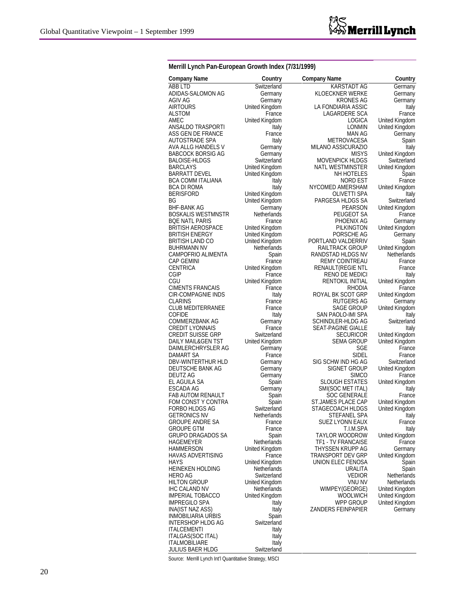| Merrill Lynch Pan-European Growth Index (7/31/1999) |  |  |
|-----------------------------------------------------|--|--|
|-----------------------------------------------------|--|--|

| <b>Company Name</b>       | Country               | Company Name              | Country               |
|---------------------------|-----------------------|---------------------------|-----------------------|
| ABB LTD                   | Switzerland           | KARSTADT AG               | Germany               |
| ADIDAS-SALOMON AG         | Germany               | KLOECKNER WERKE           | Germany               |
| AGIV AG                   | Germany               | KRONES AG                 | Germany               |
| <b>AIRTOURS</b>           | United Kingdom        | LA FONDIARIA ASSIC        | Italy                 |
| <b>ALSTOM</b>             | France                | LAGARDERE SCA             | France                |
| AMEC                      | United Kingdom        | LOGICA                    | <b>United Kingdom</b> |
| ANSALDO TRASPORTI         | Italy                 | LONMIN                    | United Kingdom        |
| ASS GEN DE FRANCE         | France                | <b>MAN AG</b>             | Germany               |
| AUTOSTRADE SPA            | Italy                 | METROVACESA               | Spain                 |
| AVA ALLG HANDELS V        | Germany               | MILANO ASSICURAZIO        | Italy                 |
| <b>BABCOCK BORSIG AG</b>  | Germany               | <b>MISYS</b>              | <b>United Kingdom</b> |
| <b>BALOISE-HLDGS</b>      | Switzerland           | <b>MOVENPICK HLDGS</b>    | Switzerland           |
| <b>BARCLAYS</b>           | <b>United Kingdom</b> | <b>NATL WESTMINSTER</b>   | <b>United Kingdom</b> |
| <b>BARRATT DEVEL</b>      | United Kingdom        | NH HOTELES                | Spain                 |
| BCA COMM ITALIANA         | Italy                 | NORD EST                  | France                |
| BCA DI ROMA               | Italy                 | NYCOMED AMERSHAM          | United Kingdom        |
| <b>BERISFORD</b>          | <b>United Kingdom</b> | OLIVETTI SPA              | Italy                 |
|                           | United Kingdom        |                           |                       |
| ΒG                        |                       | PARGESA HLDGS SA          | Switzerland           |
| <b>BHF-BANK AG</b>        | Germany               | PEARSON                   | <b>United Kingdom</b> |
| <b>BOSKALIS WESTMNSTR</b> | <b>Netherlands</b>    | PEUGEOT SA                | France                |
| <b>BOE NATL PARIS</b>     | France                | PHOENIX AG                | Germany               |
| <b>BRITISH AEROSPACE</b>  | <b>United Kingdom</b> | <b>PILKINGTON</b>         | United Kingdom        |
| <b>BRITISH ENERGY</b>     | United Kingdom        | PORSCHE AG                | Germany               |
| <b>BRITISH LAND CO</b>    | <b>United Kingdom</b> | PORTLAND VALDERRIV        | Spain                 |
| <b>BUHRMANN NV</b>        | Netherlands           | RAILTRACK GROUP           | <b>United Kingdom</b> |
| <b>CAMPOFRIO ALIMENTA</b> | Spain                 | RANDSTAD HLDGS NV         | <b>Netherlands</b>    |
| <b>CAP GEMINI</b>         | France                | <b>REMY COINTREAU</b>     | France                |
| <b>CENTRICA</b>           | <b>United Kingdom</b> | RENAULT(REGIE NTL         | France                |
| <b>CGIP</b>               | France                | RENO DE MEDICI            | Italy                 |
| CGU                       | United Kingdom        | <b>RENTOKIL INITIAL</b>   | <b>United Kingdom</b> |
| <b>CIMENTS FRANCAIS</b>   | France                | RHODIA                    | France                |
| CIR-COMPAGNIE INDS        | Italy                 | ROYAL BK SCOT GRP         | <b>United Kingdom</b> |
| <b>CLARINS</b>            | France                | RUTGERS AG                | Germany               |
| <b>CLUB MEDITERRANEE</b>  | France                | SAGE GROUP                | United Kingdom        |
| <b>COFIDE</b>             | Italy                 | SAN PAOLO-IMI SPA         | Italy                 |
| COMMERZBANK AG            | Germany               | SCHINDLER-HLDG AG         | Switzerland           |
| <b>CREDIT LYONNAIS</b>    | France                | SEAT-PAGINE GIALLE        | Italy                 |
| <b>CREDIT SUISSE GRP</b>  | Switzerland           |                           |                       |
|                           |                       | SECURICOR                 | United Kingdom        |
| DAILY MAIL&GEN TST        | United Kingdom        | SEMA GROUP                | <b>United Kingdom</b> |
| DAIMLERCHRYSLER AG        | Germany               | SGE                       | France                |
| <b>DAMART SA</b>          | France                | <b>SIDEL</b>              | France                |
| <b>DBV-WINTERTHUR HLD</b> | Germany               | SIG SCHW IND HG AG        | Switzerland           |
| DEUTSCHE BANK AG          | Germany               | SIGNET GROUP              | <b>United Kingdom</b> |
| DEUTZ AG                  | Germany               | <b>SIMCO</b>              | France                |
| EL AGUILA SA              | Spain                 | <b>SLOUGH ESTATES</b>     | United Kingdom        |
| ESCADA AG                 | Germany               | SMI(SOC MET ITAL)         | Italy                 |
| <b>FAB AUTOM RENAULT</b>  | Spain                 | SOC GENERALE              | France                |
| FOM CONST Y CONTRA        | Spain                 | <b>ST.JAMES PLACE CAP</b> | <b>United Kingdom</b> |
| FORBO HLDGS AG            | Switzerland           | STAGECOACH HLDGS          | United Kingdom        |
| <b>GETRONICS NV</b>       | Netherlands           | STEFANEL SPA              | Italy                 |
| <b>GROUPE ANDRE SA</b>    | France                | <b>SUEZ LYONN EAUX</b>    | France                |
| <b>GROUPE GTM</b>         | France                | T.I.M.SPA                 | Italy                 |
| <b>GRUPO DRAGADOS SA</b>  | Spain                 | <b>TAYLOR WOODROW</b>     | <b>United Kingdom</b> |
| HAGEMEYER                 | <b>Netherlands</b>    | <b>TF1 - TV FRANCAISE</b> | France                |
| HAMMERSON                 | <b>United Kingdom</b> | THYSSEN KRUPP AG          | Germany               |
| <b>HAVAS ADVERTISING</b>  | France                | TRANSPORT DEV GRP         | United Kingdom        |
| <b>HAYS</b>               | <b>United Kingdom</b> |                           |                       |
|                           |                       | UNION ELEC FENOSA         | Spain                 |
| <b>HEINEKEN HOLDING</b>   | Netherlands           | URALITA                   | Spain                 |
| HERO AG                   | Switzerland           | <b>VEDIOR</b>             | <b>Netherlands</b>    |
| <b>HILTON GROUP</b>       | United Kingdom        | <b>VNU NV</b>             | <b>Netherlands</b>    |
| <b>IHC CALAND NV</b>      | Netherlands           | WIMPEY(GEORGE)            | <b>United Kingdom</b> |
| <b>IMPERIAL TOBACCO</b>   | United Kingdom        | <b>WOOLWICH</b>           | United Kingdom        |
| <b>IMPREGILO SPA</b>      | Italy                 | WPP GROUP                 | United Kingdom        |
| INA(IST NAZ ASS)          | Italy                 | ZANDERS FEINPAPIER        | Germany               |
| <b>INMOBILIARIA URBIS</b> | Spain                 |                           |                       |
| INTERSHOP HLDG AG         | Switzerland           |                           |                       |
| <b>ITALCEMENTI</b>        | Italy                 |                           |                       |
| ITALGAS(SOC ITAL)         | Italy                 |                           |                       |
|                           |                       |                           |                       |

JULIUS BAER HLDG Switzerland Source: Merrill Lynch Int'l Quantitative Strategy, MSCI

ITALMOBILIARE ltaly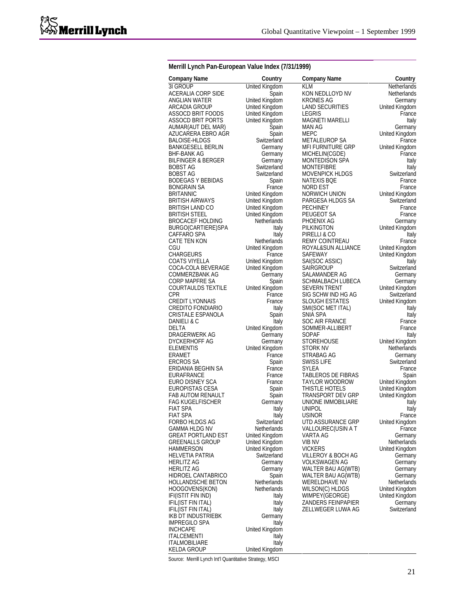### **Merrill Lynch Pan-European Value Index (7/31/1999)**

| <b>Company Name</b><br>3I GROUP                | Country                     | <b>Company Name</b>                        | Country                           |
|------------------------------------------------|-----------------------------|--------------------------------------------|-----------------------------------|
| ACERALIA CORP SIDE                             | <b>United Kingdom</b>       | KLM<br>KON NEDLLOYD NV                     | Netherlands<br><b>Netherlands</b> |
| ANGLIAN WATER                                  | Spain<br>United Kingdom     | <b>KRONES AG</b>                           |                                   |
| ARCADIA GROUP                                  | United Kingdom              | <b>LAND SECURITIES</b>                     | Germany<br><b>United Kingdom</b>  |
| ASSOCD BRIT FOODS                              |                             | LEGRIS                                     | France                            |
| ASSOCD BRIT PORTS                              | United Kingdom              | <b>MAGNETI MARELLI</b>                     |                                   |
|                                                | United Kingdom              | MAN AG                                     | Italy<br>Germany                  |
| AUMAR(AUT DEL MAR)                             | Spain<br>Spain              | <b>MEPC</b>                                | <b>United Kingdom</b>             |
| AZUCARERA EBRO AGR<br>BALOISE-HLDGS            | Switzerland                 | <b>METALEUROP SA</b>                       | France                            |
| <b>BANKGESELL BERLIN</b>                       | Germany                     | <b>MFI FURNITURE GRP</b>                   | <b>United Kingdom</b>             |
| <b>BHF-BANK AG</b>                             | Germany                     | MICHELIN(CGDE)                             | France                            |
| <b>BILFINGER &amp; BERGER</b>                  | Germany                     | MONTEDISON SPA                             | Italy                             |
| <b>BOBST AG</b>                                | Switzerland                 | <b>MONTEFIBRE</b>                          | Italy                             |
| <b>BOBST AG</b>                                | Switzerland                 | <b>MOVENPICK HLDGS</b>                     | Switzerland                       |
| <b>BODEGAS Y BEBIDAS</b>                       | Spain                       | <b>NATEXIS BOE</b>                         | France                            |
| <b>BONGRAIN SA</b>                             | France                      | NORD EST                                   | France                            |
| <b>BRITANNIC</b>                               | United Kingdom              | NORWICH UNION                              | <b>United Kingdom</b>             |
| <b>BRITISH AIRWAYS</b>                         | United Kingdom              | PARGESA HLDGS SA                           | Switzerland                       |
| <b>BRITISH LAND CO</b>                         | United Kingdom              | <b>PECHINEY</b>                            | France                            |
| <b>BRITISH STEEL</b>                           | United Kingdom              | PEUGEOT SA                                 | France                            |
| <b>BROCACEF HOLDING</b>                        | <b>Netherlands</b>          | PHOENIX AG                                 | Germany                           |
|                                                |                             | PILKINGTON                                 |                                   |
| BURGO(CARTIERE)SPA<br>CAFFARO SPA              | Italy<br>Italy              | PIRELLI & CO                               | <b>United Kingdom</b>             |
| CATE TEN KON                                   | Netherlands                 | <b>REMY COINTREAU</b>                      | Italy<br>France                   |
| CGU                                            |                             | ROYAL&SUN ALLIANCE                         | United Kingdom                    |
| <b>CHARGEURS</b>                               | United Kingdom<br>France    | SAFEWAY                                    |                                   |
| COATS VIYELLA                                  | United Kingdom              |                                            | <b>United Kingdom</b><br>Italy    |
| COCA-COLA BEVERAGE                             | United Kingdom              | SAI(SOC ASSIC)<br>SAIRGROUP                | Switzerland                       |
| <b>COMMERZBANK AG</b>                          | Germany                     | SALAMANDER AG                              | Germany                           |
| CORP MAPFRE SA                                 | Spain                       | SCHMALBACH LUBECA                          | Germany                           |
| <b>COURTAULDS TEXTILE</b>                      | United Kingdom              | SEVERN TRENT                               | <b>United Kingdom</b>             |
| <b>CPR</b>                                     | France                      | SIG SCHW IND HG AG                         | Switzerland                       |
| <b>CREDIT LYONNAIS</b>                         | France                      | <b>SLOUGH ESTATES</b>                      | <b>United Kingdom</b>             |
| <b>CREDITO FONDIARIO</b>                       | Italy                       | SMI(SOC MET ITAL)                          | Italy                             |
| CRISTALE ESPANOLA                              | Spain                       | SNIA SPA                                   | Italy                             |
| DANIELI & C                                    | Italy                       | <b>SOC AIR FRANCE</b>                      | France                            |
| DELTA                                          | United Kingdom              | SOMMER-ALLIBERT                            | France                            |
| DRAGERWERK AG                                  | Germany                     | SOPAF                                      | Italy                             |
| DYCKERHOFF AG                                  | Germany                     | STOREHOUSE                                 | <b>United Kingdom</b>             |
| ELEMENTIS                                      | <b>United Kingdom</b>       | STORK NV                                   | <b>Netherlands</b>                |
| ERAMET                                         | France                      | STRABAG AG                                 | Germany                           |
| <b>ERCROS SA</b>                               | Spain                       | <b>SWISS LIFE</b>                          | Switzerland                       |
| ERIDANIA BEGHIN SA                             | France                      | SYLEA                                      | France                            |
| EURAFRANCE                                     | France                      | TABLEROS DE FIBRAS                         | Spain                             |
| EURO DISNEY SCA                                | France                      | <b>TAYLOR WOODROW</b>                      | <b>United Kingdom</b>             |
| EUROPISTAS CESA                                | Spain                       | THISTLE HOTELS                             | <b>United Kingdom</b>             |
| <b>FAB AUTOM RENAULT</b>                       | Spain                       | <b>TRANSPORT DEV GRP</b>                   | United Kingdom                    |
| FAG KUGELFISCHER                               | Germany                     | UNIONE IMMOBILIARE                         | Italy                             |
| <b>FIAT SPA</b>                                | Italy                       | <b>UNIPOL</b>                              | Italy                             |
| <b>FIAT SPA</b>                                | Italy                       | <b>USINOR</b>                              | France                            |
| FORBO HLDGS AG                                 | Switzerland                 | UTD ASSURANCE GRP                          | <b>United Kingdom</b>             |
| <b>GAMMA HLDG NV</b>                           | Netherlands                 | VALLOUREC(USIN A T                         | France                            |
| <b>GREAT PORTLAND EST</b>                      | <b>United Kingdom</b>       | VARTA AG                                   | Germany                           |
| <b>GREENALLS GROUP</b>                         | <b>United Kingdom</b>       | VIB NV                                     | <b>Netherlands</b>                |
| HAMMERSON                                      | <b>United Kingdom</b>       | <b>VICKERS</b>                             | <b>United Kingdom</b>             |
| <b>HELVETIA PATRIA</b>                         | Switzerland                 | VILLEROY & BOCH AG                         | Germany                           |
| <b>HERLITZ AG</b>                              |                             | <b>VOLKSWAGEN AG</b>                       |                                   |
| <b>HERLITZ AG</b>                              | Germany                     | WALTER BAU AG(WTB)                         | Germany<br>Germany                |
|                                                | Germany                     |                                            |                                   |
| HIDROEL CANTABRICO<br><b>HOLLANDSCHE BETON</b> | Spain<br><b>Netherlands</b> | WALTER BAU AG(WTB)<br><b>WERELDHAVE NV</b> | Germany<br><b>Netherlands</b>     |
|                                                |                             |                                            |                                   |
| HOOGOVENS(KON)                                 | <b>Netherlands</b>          | WILSON(C) HLDGS                            | <b>United Kingdom</b>             |
| IFI(ISTIT FIN IND)                             | Italy                       | WIMPEY(GEORGE)                             | United Kingdom                    |
| <b>IFIL(IST FIN ITAL)</b>                      | Italy                       | <b>ZANDERS FEINPAPIER</b>                  | Germany                           |
| IFIL(IST FIN ITAL)                             | Italy                       | ZELLWEGER LUWA AG                          | Switzerland                       |
| IKB DT INDUSTRIEBK                             | Germany                     |                                            |                                   |
| <b>IMPREGILO SPA</b>                           | Italy                       |                                            |                                   |
| <b>INCHCAPE</b>                                | United Kingdom              |                                            |                                   |
| <b>ITALCEMENTI</b>                             | Italy                       |                                            |                                   |
| <b>ITALMOBILIARE</b>                           | Italy                       |                                            |                                   |

KELDA GROUP United Kingdom Source: Merrill Lynch Int'l Quantitative Strategy, MSCI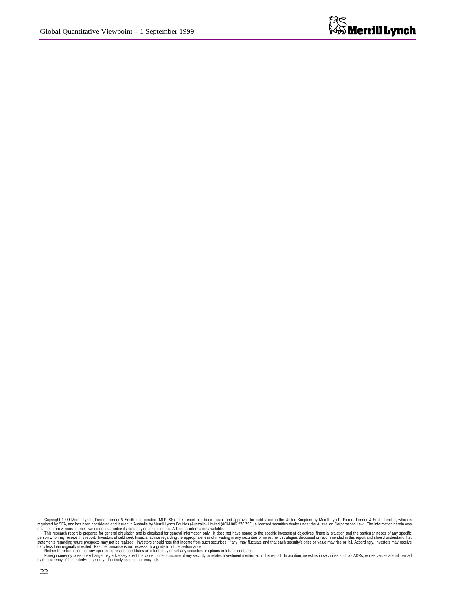Copyright 1999 Merrill Lynch, Pierce, Fenner & Smith Limited, which is the space of the methand on proved for publication in the United Kingdom by Merrill Lynch, Pierce, Fenner & Smith Limited, which is the methand (MLPF&S